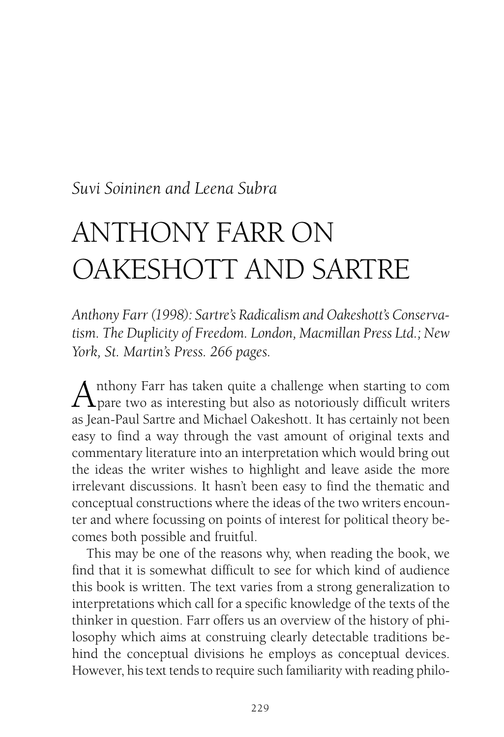*Suvi Soininen and Leena Subra*

# ANTHONY FARR ON OAKESHOTT AND SARTRE

*Anthony Farr (1998): Sartre's Radicalism and Oakeshott's Conservatism. The Duplicity of Freedom. London, Macmillan Press Ltd.; New York, St. Martin's Press. 266 pages.*

A nthony Farr has taken quite a challenge when starting to com<br>pare two as interesting but also as notoriously difficult writers as Jean-Paul Sartre and Michael Oakeshott. It has certainly not been easy to find a way through the vast amount of original texts and commentary literature into an interpretation which would bring out the ideas the writer wishes to highlight and leave aside the more irrelevant discussions. It hasn't been easy to find the thematic and conceptual constructions where the ideas of the two writers encounter and where focussing on points of interest for political theory becomes both possible and fruitful.

This may be one of the reasons why, when reading the book, we find that it is somewhat difficult to see for which kind of audience this book is written. The text varies from a strong generalization to interpretations which call for a specific knowledge of the texts of the thinker in question. Farr offers us an overview of the history of philosophy which aims at construing clearly detectable traditions behind the conceptual divisions he employs as conceptual devices. However, his text tends to require such familiarity with reading philo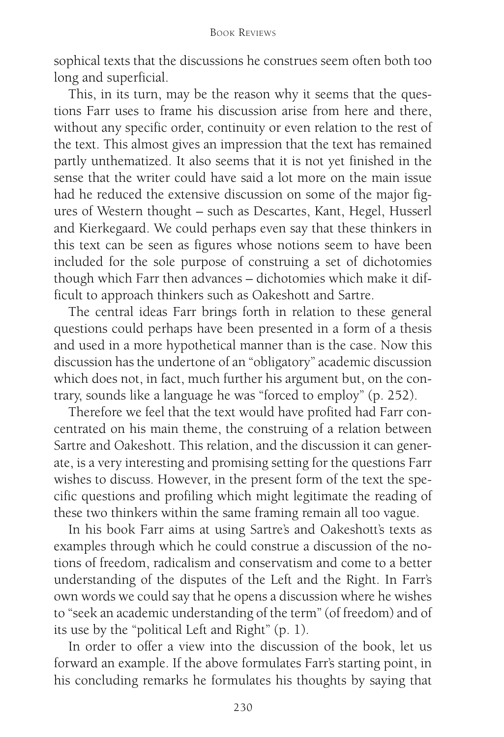sophical texts that the discussions he construes seem often both too long and superficial.

This, in its turn, may be the reason why it seems that the questions Farr uses to frame his discussion arise from here and there, without any specific order, continuity or even relation to the rest of the text. This almost gives an impression that the text has remained partly unthematized. It also seems that it is not yet finished in the sense that the writer could have said a lot more on the main issue had he reduced the extensive discussion on some of the major figures of Western thought – such as Descartes, Kant, Hegel, Husserl and Kierkegaard. We could perhaps even say that these thinkers in this text can be seen as figures whose notions seem to have been included for the sole purpose of construing a set of dichotomies though which Farr then advances – dichotomies which make it difficult to approach thinkers such as Oakeshott and Sartre.

The central ideas Farr brings forth in relation to these general questions could perhaps have been presented in a form of a thesis and used in a more hypothetical manner than is the case. Now this discussion has the undertone of an "obligatory" academic discussion which does not, in fact, much further his argument but, on the contrary, sounds like a language he was "forced to employ" (p. 252).

Therefore we feel that the text would have profited had Farr concentrated on his main theme, the construing of a relation between Sartre and Oakeshott. This relation, and the discussion it can generate, is a very interesting and promising setting for the questions Farr wishes to discuss. However, in the present form of the text the specific questions and profiling which might legitimate the reading of these two thinkers within the same framing remain all too vague.

In his book Farr aims at using Sartre's and Oakeshott's texts as examples through which he could construe a discussion of the notions of freedom, radicalism and conservatism and come to a better understanding of the disputes of the Left and the Right. In Farr's own words we could say that he opens a discussion where he wishes to "seek an academic understanding of the term" (of freedom) and of its use by the "political Left and Right" (p. 1).

In order to offer a view into the discussion of the book, let us forward an example. If the above formulates Farr's starting point, in his concluding remarks he formulates his thoughts by saying that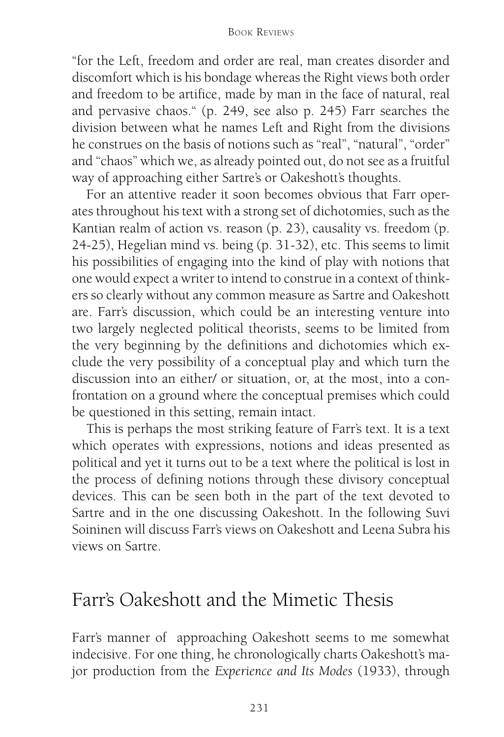"for the Left, freedom and order are real, man creates disorder and discomfort which is his bondage whereas the Right views both order and freedom to be artifice, made by man in the face of natural, real and pervasive chaos." (p. 249, see also p. 245) Farr searches the division between what he names Left and Right from the divisions he construes on the basis of notions such as "real", "natural", "order" and "chaos" which we, as already pointed out, do not see as a fruitful way of approaching either Sartre's or Oakeshott's thoughts.

For an attentive reader it soon becomes obvious that Farr operates throughout his text with a strong set of dichotomies, such as the Kantian realm of action vs. reason (p. 23), causality vs. freedom (p. 24-25), Hegelian mind vs. being (p. 31-32), etc. This seems to limit his possibilities of engaging into the kind of play with notions that one would expect a writer to intend to construe in a context of thinkers so clearly without any common measure as Sartre and Oakeshott are. Farr's discussion, which could be an interesting venture into two largely neglected political theorists, seems to be limited from the very beginning by the definitions and dichotomies which exclude the very possibility of a conceptual play and which turn the discussion into an either/ or situation, or, at the most, into a confrontation on a ground where the conceptual premises which could be questioned in this setting, remain intact.

This is perhaps the most striking feature of Farr's text. It is a text which operates with expressions, notions and ideas presented as political and yet it turns out to be a text where the political is lost in the process of defining notions through these divisory conceptual devices. This can be seen both in the part of the text devoted to Sartre and in the one discussing Oakeshott. In the following Suvi Soininen will discuss Farr's views on Oakeshott and Leena Subra his views on Sartre.

### Farr's Oakeshott and the Mimetic Thesis

Farr's manner of approaching Oakeshott seems to me somewhat indecisive. For one thing, he chronologically charts Oakeshott's major production from the *Experience and Its Modes* (1933), through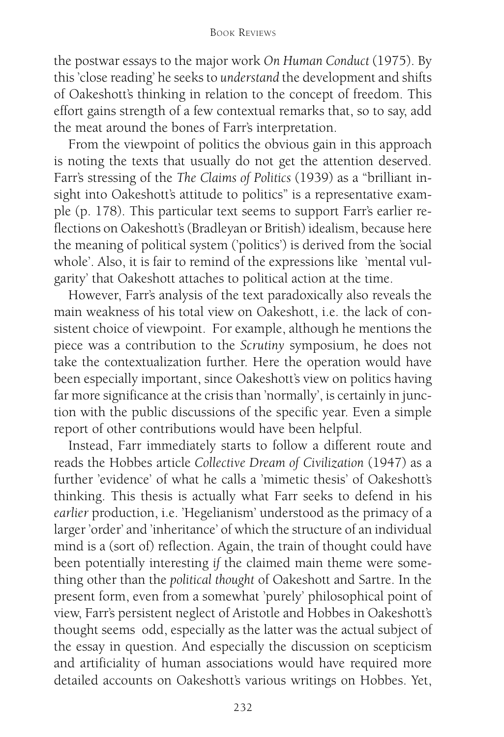the postwar essays to the major work *On Human Conduct* (1975). By this 'close reading' he seeks to *understand* the development and shifts of Oakeshott's thinking in relation to the concept of freedom. This effort gains strength of a few contextual remarks that, so to say, add the meat around the bones of Farr's interpretation.

From the viewpoint of politics the obvious gain in this approach is noting the texts that usually do not get the attention deserved. Farr's stressing of the *The Claims of Politics* (1939) as a "brilliant insight into Oakeshott's attitude to politics" is a representative example (p. 178). This particular text seems to support Farr's earlier reflections on Oakeshott's (Bradleyan or British) idealism, because here the meaning of political system ('politics') is derived from the 'social whole'. Also, it is fair to remind of the expressions like 'mental vulgarity' that Oakeshott attaches to political action at the time.

However, Farr's analysis of the text paradoxically also reveals the main weakness of his total view on Oakeshott, i.e. the lack of consistent choice of viewpoint. For example, although he mentions the piece was a contribution to the *Scrutiny* symposium, he does not take the contextualization further. Here the operation would have been especially important, since Oakeshott's view on politics having far more significance at the crisis than 'normally', is certainly in junction with the public discussions of the specific year. Even a simple report of other contributions would have been helpful.

Instead, Farr immediately starts to follow a different route and reads the Hobbes article *Collective Dream of Civilization* (1947) as a further 'evidence' of what he calls a 'mimetic thesis' of Oakeshott's thinking. This thesis is actually what Farr seeks to defend in his *earlier* production, i.e. 'Hegelianism' understood as the primacy of a larger 'order' and 'inheritance' of which the structure of an individual mind is a (sort of) reflection. Again, the train of thought could have been potentially interesting *if* the claimed main theme were something other than the *political thought* of Oakeshott and Sartre. In the present form, even from a somewhat 'purely' philosophical point of view, Farr's persistent neglect of Aristotle and Hobbes in Oakeshott's thought seems odd, especially as the latter was the actual subject of the essay in question. And especially the discussion on scepticism and artificiality of human associations would have required more detailed accounts on Oakeshott's various writings on Hobbes. Yet,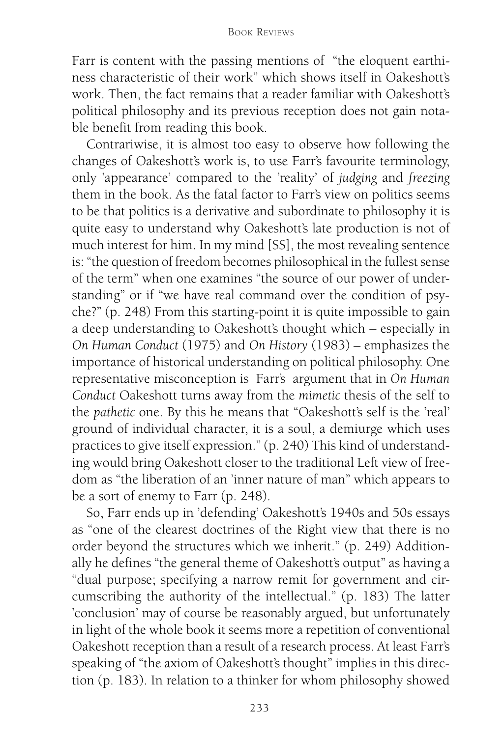Farr is content with the passing mentions of "the eloquent earthiness characteristic of their work" which shows itself in Oakeshott's work. Then, the fact remains that a reader familiar with Oakeshott's political philosophy and its previous reception does not gain notable benefit from reading this book.

Contrariwise, it is almost too easy to observe how following the changes of Oakeshott's work is, to use Farr's favourite terminology, only 'appearance' compared to the 'reality' of *judging* and *freezing* them in the book. As the fatal factor to Farr's view on politics seems to be that politics is a derivative and subordinate to philosophy it is quite easy to understand why Oakeshott's late production is not of much interest for him. In my mind [SS], the most revealing sentence is: "the question of freedom becomes philosophical in the fullest sense of the term" when one examines "the source of our power of understanding" or if "we have real command over the condition of psyche?" (p. 248) From this starting-point it is quite impossible to gain a deep understanding to Oakeshott's thought which – especially in *On Human Conduct* (1975) and *On History* (1983) – emphasizes the importance of historical understanding on political philosophy. One representative misconception is Farr's argument that in *On Human Conduct* Oakeshott turns away from the *mimetic* thesis of the self to the *pathetic* one. By this he means that "Oakeshott's self is the 'real' ground of individual character, it is a soul, a demiurge which uses practices to give itself expression." (p. 240) This kind of understanding would bring Oakeshott closer to the traditional Left view of freedom as "the liberation of an 'inner nature of man" which appears to be a sort of enemy to Farr (p. 248).

So, Farr ends up in 'defending' Oakeshott's 1940s and 50s essays as "one of the clearest doctrines of the Right view that there is no order beyond the structures which we inherit." (p. 249) Additionally he defines "the general theme of Oakeshott's output" as having a "dual purpose; specifying a narrow remit for government and circumscribing the authority of the intellectual." (p. 183) The latter 'conclusion' may of course be reasonably argued, but unfortunately in light of the whole book it seems more a repetition of conventional Oakeshott reception than a result of a research process. At least Farr's speaking of "the axiom of Oakeshott's thought" implies in this direction (p. 183). In relation to a thinker for whom philosophy showed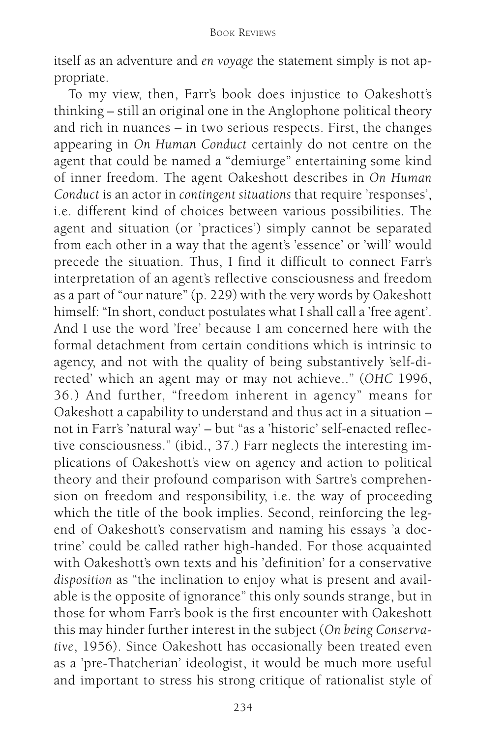itself as an adventure and *en voyage* the statement simply is not appropriate.

To my view, then, Farr's book does injustice to Oakeshott's thinking – still an original one in the Anglophone political theory and rich in nuances – in two serious respects. First, the changes appearing in *On Human Conduct* certainly do not centre on the agent that could be named a "demiurge" entertaining some kind of inner freedom. The agent Oakeshott describes in *On Human Conduct* is an actor in *contingent situations* that require 'responses', i.e. different kind of choices between various possibilities. The agent and situation (or 'practices') simply cannot be separated from each other in a way that the agent's 'essence' or 'will' would precede the situation. Thus, I find it difficult to connect Farr's interpretation of an agent's reflective consciousness and freedom as a part of "our nature" (p. 229) with the very words by Oakeshott himself: "In short, conduct postulates what I shall call a 'free agent'. And I use the word 'free' because I am concerned here with the formal detachment from certain conditions which is intrinsic to agency, and not with the quality of being substantively 'self-directed' which an agent may or may not achieve.." (*OHC* 1996, 36.) And further, "freedom inherent in agency" means for Oakeshott a capability to understand and thus act in a situation – not in Farr's 'natural way' – but "as a 'historic' self-enacted reflective consciousness." (ibid., 37.) Farr neglects the interesting implications of Oakeshott's view on agency and action to political theory and their profound comparison with Sartre's comprehension on freedom and responsibility, i.e. the way of proceeding which the title of the book implies. Second, reinforcing the legend of Oakeshott's conservatism and naming his essays 'a doctrine' could be called rather high-handed. For those acquainted with Oakeshott's own texts and his 'definition' for a conservative *disposition* as "the inclination to enjoy what is present and available is the opposite of ignorance" this only sounds strange, but in those for whom Farr's book is the first encounter with Oakeshott this may hinder further interest in the subject (*On being Conservative*, 1956). Since Oakeshott has occasionally been treated even as a 'pre-Thatcherian' ideologist, it would be much more useful and important to stress his strong critique of rationalist style of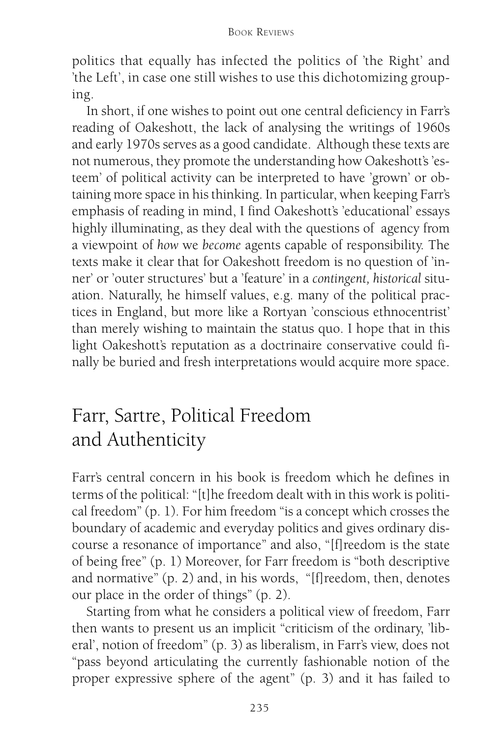politics that equally has infected the politics of 'the Right' and 'the Left', in case one still wishes to use this dichotomizing grouping.

In short, if one wishes to point out one central deficiency in Farr's reading of Oakeshott, the lack of analysing the writings of 1960s and early 1970s serves as a good candidate. Although these texts are not numerous, they promote the understanding how Oakeshott's 'esteem' of political activity can be interpreted to have 'grown' or obtaining more space in his thinking. In particular, when keeping Farr's emphasis of reading in mind, I find Oakeshott's 'educational' essays highly illuminating, as they deal with the questions of agency from a viewpoint of *how* we *become* agents capable of responsibility. The texts make it clear that for Oakeshott freedom is no question of 'inner' or 'outer structures' but a 'feature' in a *contingent, historical* situation. Naturally, he himself values, e.g. many of the political practices in England, but more like a Rortyan 'conscious ethnocentrist' than merely wishing to maintain the status quo. I hope that in this light Oakeshott's reputation as a doctrinaire conservative could finally be buried and fresh interpretations would acquire more space.

# Farr, Sartre, Political Freedom and Authenticity

Farr's central concern in his book is freedom which he defines in terms of the political: "[t]he freedom dealt with in this work is political freedom" (p. 1). For him freedom "is a concept which crosses the boundary of academic and everyday politics and gives ordinary discourse a resonance of importance" and also, "[f]reedom is the state of being free" (p. 1) Moreover, for Farr freedom is "both descriptive and normative" (p. 2) and, in his words, "[f]reedom, then, denotes our place in the order of things" (p. 2).

Starting from what he considers a political view of freedom, Farr then wants to present us an implicit "criticism of the ordinary, 'liberal', notion of freedom" (p. 3) as liberalism, in Farr's view, does not "pass beyond articulating the currently fashionable notion of the proper expressive sphere of the agent" (p. 3) and it has failed to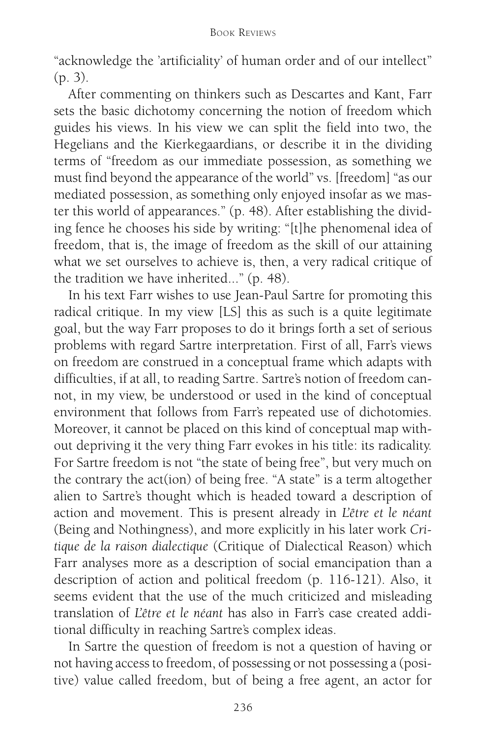"acknowledge the 'artificiality' of human order and of our intellect" (p. 3).

After commenting on thinkers such as Descartes and Kant, Farr sets the basic dichotomy concerning the notion of freedom which guides his views. In his view we can split the field into two, the Hegelians and the Kierkegaardians, or describe it in the dividing terms of "freedom as our immediate possession, as something we must find beyond the appearance of the world" vs. [freedom] "as our mediated possession, as something only enjoyed insofar as we master this world of appearances." (p. 48). After establishing the dividing fence he chooses his side by writing: "[t]he phenomenal idea of freedom, that is, the image of freedom as the skill of our attaining what we set ourselves to achieve is, then, a very radical critique of the tradition we have inherited..." (p. 48).

In his text Farr wishes to use Jean-Paul Sartre for promoting this radical critique. In my view [LS] this as such is a quite legitimate goal, but the way Farr proposes to do it brings forth a set of serious problems with regard Sartre interpretation. First of all, Farr's views on freedom are construed in a conceptual frame which adapts with difficulties, if at all, to reading Sartre. Sartre's notion of freedom cannot, in my view, be understood or used in the kind of conceptual environment that follows from Farr's repeated use of dichotomies. Moreover, it cannot be placed on this kind of conceptual map without depriving it the very thing Farr evokes in his title: its radicality. For Sartre freedom is not "the state of being free", but very much on the contrary the act(ion) of being free. "A state" is a term altogether alien to Sartre's thought which is headed toward a description of action and movement. This is present already in *L'être et le néant* (Being and Nothingness), and more explicitly in his later work *Critique de la raison dialectique* (Critique of Dialectical Reason) which Farr analyses more as a description of social emancipation than a description of action and political freedom (p. 116-121). Also, it seems evident that the use of the much criticized and misleading translation of *L'être et le néant* has also in Farr's case created additional difficulty in reaching Sartre's complex ideas.

In Sartre the question of freedom is not a question of having or not having access to freedom, of possessing or not possessing a (positive) value called freedom, but of being a free agent, an actor for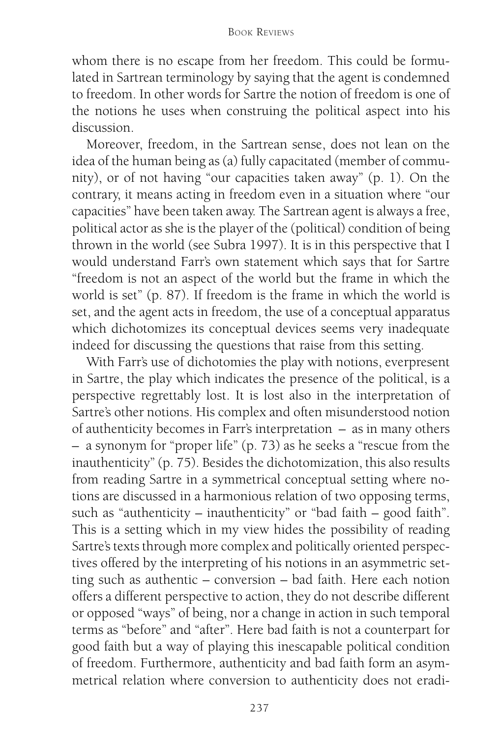whom there is no escape from her freedom. This could be formulated in Sartrean terminology by saying that the agent is condemned to freedom. In other words for Sartre the notion of freedom is one of the notions he uses when construing the political aspect into his discussion.

Moreover, freedom, in the Sartrean sense, does not lean on the idea of the human being as (a) fully capacitated (member of community), or of not having "our capacities taken away" (p. 1). On the contrary, it means acting in freedom even in a situation where "our capacities" have been taken away. The Sartrean agent is always a free, political actor as she is the player of the (political) condition of being thrown in the world (see Subra 1997). It is in this perspective that I would understand Farr's own statement which says that for Sartre "freedom is not an aspect of the world but the frame in which the world is set" (p. 87). If freedom is the frame in which the world is set, and the agent acts in freedom, the use of a conceptual apparatus which dichotomizes its conceptual devices seems very inadequate indeed for discussing the questions that raise from this setting.

With Farr's use of dichotomies the play with notions, everpresent in Sartre, the play which indicates the presence of the political, is a perspective regrettably lost. It is lost also in the interpretation of Sartre's other notions. His complex and often misunderstood notion of authenticity becomes in Farr's interpretation – as in many others – a synonym for "proper life" (p. 73) as he seeks a "rescue from the inauthenticity" (p. 75). Besides the dichotomization, this also results from reading Sartre in a symmetrical conceptual setting where notions are discussed in a harmonious relation of two opposing terms, such as "authenticity – inauthenticity" or "bad faith – good faith". This is a setting which in my view hides the possibility of reading Sartre's texts through more complex and politically oriented perspectives offered by the interpreting of his notions in an asymmetric setting such as authentic – conversion – bad faith. Here each notion offers a different perspective to action, they do not describe different or opposed "ways" of being, nor a change in action in such temporal terms as "before" and "after". Here bad faith is not a counterpart for good faith but a way of playing this inescapable political condition of freedom. Furthermore, authenticity and bad faith form an asymmetrical relation where conversion to authenticity does not eradi